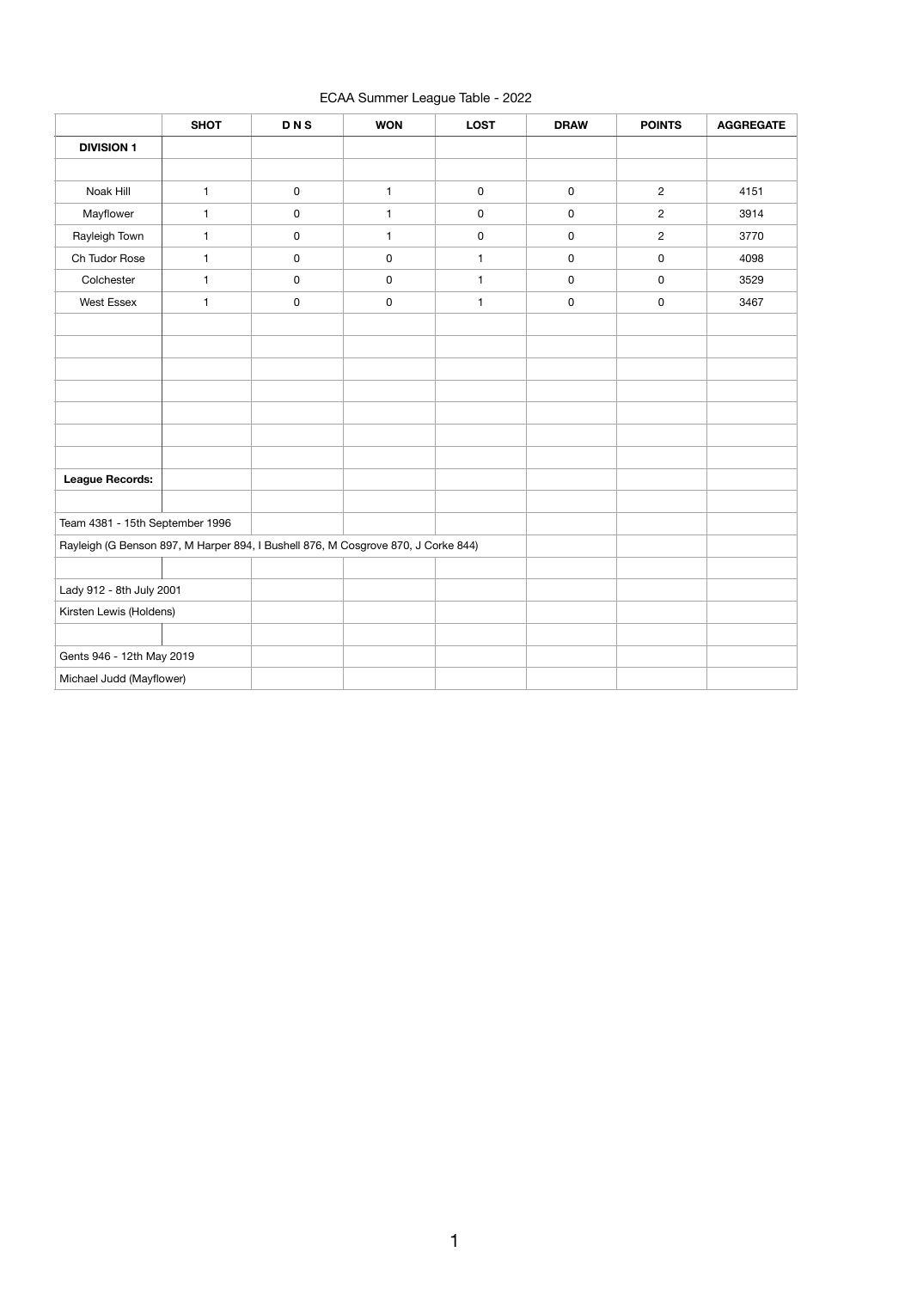## ECAA Summer League Table - 2022

|                                                                                   | <b>SHOT</b>  | <b>DNS</b>          | <b>WON</b>   | <b>LOST</b>         | <b>DRAW</b> | <b>POINTS</b>  | <b>AGGREGATE</b> |
|-----------------------------------------------------------------------------------|--------------|---------------------|--------------|---------------------|-------------|----------------|------------------|
| <b>DIVISION 1</b>                                                                 |              |                     |              |                     |             |                |                  |
|                                                                                   |              |                     |              |                     |             |                |                  |
| Noak Hill                                                                         | $\mathbf{1}$ | $\pmb{0}$           | $\mathbf{1}$ | $\mathsf{O}\xspace$ | $\pmb{0}$   | $\overline{2}$ | 4151             |
| Mayflower                                                                         | 1            | $\mathsf{O}\xspace$ | 1            | 0                   | 0           | $\overline{c}$ | 3914             |
| Rayleigh Town                                                                     | $\mathbf{1}$ | $\mathsf{O}\xspace$ | $\mathbf{1}$ | $\mathsf{O}\xspace$ | 0           | $\overline{c}$ | 3770             |
| Ch Tudor Rose                                                                     | $\mathbf{1}$ | $\pmb{0}$           | $\mathbf 0$  | $\mathbf{1}$        | 0           | $\pmb{0}$      | 4098             |
| Colchester                                                                        | $\mathbf{1}$ | $\mathsf 0$         | $\mathsf 0$  | $\mathbf{1}$        | 0           | 0              | 3529             |
| <b>West Essex</b>                                                                 | $\mathbf{1}$ | $\pmb{0}$           | $\mathbf 0$  | $\mathbf{1}$        | $\pmb{0}$   | $\pmb{0}$      | 3467             |
|                                                                                   |              |                     |              |                     |             |                |                  |
|                                                                                   |              |                     |              |                     |             |                |                  |
|                                                                                   |              |                     |              |                     |             |                |                  |
|                                                                                   |              |                     |              |                     |             |                |                  |
|                                                                                   |              |                     |              |                     |             |                |                  |
|                                                                                   |              |                     |              |                     |             |                |                  |
|                                                                                   |              |                     |              |                     |             |                |                  |
| <b>League Records:</b>                                                            |              |                     |              |                     |             |                |                  |
|                                                                                   |              |                     |              |                     |             |                |                  |
| Team 4381 - 15th September 1996                                                   |              |                     |              |                     |             |                |                  |
| Rayleigh (G Benson 897, M Harper 894, I Bushell 876, M Cosgrove 870, J Corke 844) |              |                     |              |                     |             |                |                  |
|                                                                                   |              |                     |              |                     |             |                |                  |
| Lady 912 - 8th July 2001                                                          |              |                     |              |                     |             |                |                  |
| Kirsten Lewis (Holdens)                                                           |              |                     |              |                     |             |                |                  |
|                                                                                   |              |                     |              |                     |             |                |                  |
| Gents 946 - 12th May 2019                                                         |              |                     |              |                     |             |                |                  |
| Michael Judd (Mayflower)                                                          |              |                     |              |                     |             |                |                  |

1